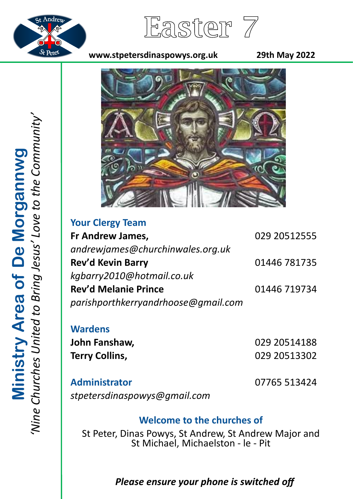

Easter 7

**www.stpetersdinaspowys.org.uk 29th May 2022**



| ご                 |                                     |
|-------------------|-------------------------------------|
| Bring Jesus' Love | <b>Your Clergy Team</b>             |
|                   | Fr Andrew James,                    |
|                   | andrewjames@churchinwales.org.uk    |
|                   | Rev'd Kevin Barry                   |
|                   | kgbarry2010@hotmail.co.uk           |
|                   | Rev'd Melanie Prince                |
| $C_1$             | parishporthkerryandrhoose@gmail.com |
|                   | <b>Wardens</b>                      |
|                   | John Fanshaw,                       |
| hes United        | <b>Terry Collins,</b>               |
|                   |                                     |
|                   |                                     |

**John Fanshaw,** 029 20514188 **Terry Collins,** 029 20513302

**Fr Andrew James,** 029 20512555

**Rev'd Kevin Barry** 01446 781735

**Rev'd Melanie Prince** 01446 719734

**Administrator** 07765 513424

*stpetersdinaspowys@gmail.com*

## **Welcome to the churches of**

St Peter, Dinas Powys, St Andrew, St Andrew Major and St Michael, Michaelston - le - Pit

# *Please ensure your phone is switched off*

*'Nine Churches United to Bring Jesus' Love to the Community'* **Ministry Area of De Morgannwg**<br>Churches United to Bring Jesus' Love to the Community **Ministry Area of De Morgannwg** 'Nine Chura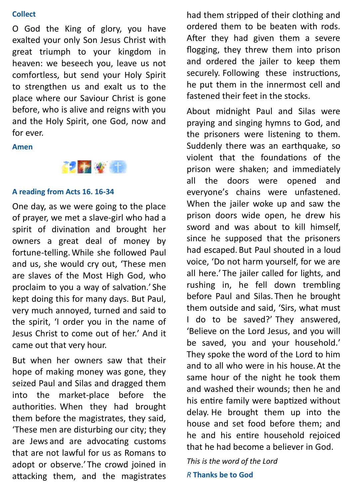#### **Collect**

O God the King of glory, you have exalted your only Son Jesus Christ with great triumph to your kingdom in heaven: we beseech you, leave us not comfortless, but send your Holy Spirit to strengthen us and exalt us to the place where our Saviour Christ is gone before, who is alive and reigns with you and the Holy Spirit, one God, now and for ever.

**Amen**



#### **A reading from Acts 16. 16-34**

One day, as we were going to the place of prayer, we met a slave-girl who had a spirit of divination and brought her owners a great deal of money by fortune-telling.While she followed Paul and us, she would cry out, 'These men are slaves of the Most High God, who proclaim to you a way of salvation.' She kept doing this for many days. But Paul, very much annoyed, turned and said to the spirit, 'I order you in the name of Jesus Christ to come out of her.' And it came out that very hour.

But when her owners saw that their hope of making money was gone, they seized Paul and Silas and dragged them into the market-place before the authorities. When they had brought them before the magistrates, they said, 'These men are disturbing our city; they are Jews and are advocating customs that are not lawful for us as Romans to adopt or observe.' The crowd joined in attacking them, and the magistrates

had them stripped of their clothing and ordered them to be beaten with rods. After they had given them a severe flogging, they threw them into prison and ordered the jailer to keep them securely. Following these instructions, he put them in the innermost cell and fastened their feet in the stocks.

About midnight Paul and Silas were praying and singing hymns to God, and the prisoners were listening to them. Suddenly there was an earthquake, so violent that the foundations of the prison were shaken; and immediately all the doors were opened and everyone's chains were unfastened. When the jailer woke up and saw the prison doors wide open, he drew his sword and was about to kill himself, since he supposed that the prisoners had escaped. But Paul shouted in a loud voice, 'Do not harm yourself, for we are all here.' The jailer called for lights, and rushing in, he fell down trembling before Paul and Silas. Then he brought them outside and said, 'Sirs, what must I do to be saved?' They answered, 'Believe on the Lord Jesus, and you will be saved, you and your household.' They spoke the word of the Lord to him and to all who were in his house.At the same hour of the night he took them and washed their wounds; then he and his entire family were baptized without delay. He brought them up into the house and set food before them; and he and his entire household rejoiced that he had become a believer in God.

*This is the word of the Lord*

*R* **Thanks be to God**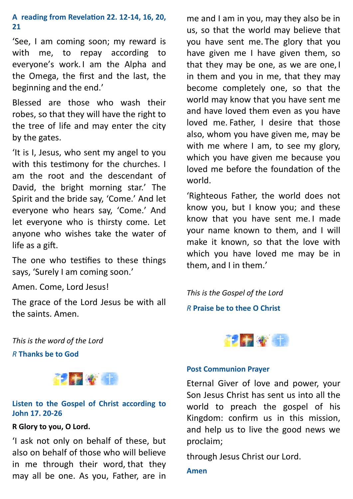### **A reading from Revelation 22. 12-14, 16, 20, 21**

'See, I am coming soon; my reward is with me, to repay according to everyone's work. I am the Alpha and the Omega, the first and the last, the beginning and the end.'

Blessed are those who wash their robes, so that they will have the right to the tree of life and may enter the city by the gates.

'It is I, Jesus, who sent my angel to you with this testimony for the churches. I am the root and the descendant of David, the bright morning star.' The Spirit and the bride say, 'Come.' And let everyone who hears say, 'Come.' And let everyone who is thirsty come. Let anyone who wishes take the water of life as a gift.

The one who testifies to these things says, 'Surely I am coming soon.'

Amen. Come, Lord Jesus!

The grace of the Lord Jesus be with all the saints. Amen.

*This is the word of the Lord R* **Thanks be to God**



#### **Listen to the Gospel of Christ according to John 17. 20-26**

#### **R Glory to you, O Lord.**

'I ask not only on behalf of these, but also on behalf of those who will believe in me through their word, that they may all be one. As you, Father, are in

me and I am in you, may they also be in us, so that the world may believe that you have sent me. The glory that you have given me I have given them, so that they may be one, as we are one, I in them and you in me, that they may become completely one, so that the world may know that you have sent me and have loved them even as you have loved me. Father, I desire that those also, whom you have given me, may be with me where I am, to see my glory, which you have given me because you loved me before the foundation of the world.

'Righteous Father, the world does not know you, but I know you; and these know that you have sent me. I made your name known to them, and I will make it known, so that the love with which you have loved me may be in them, and I in them.'

*This is the Gospel of the Lord*

*R* **Praise be to thee O Christ**



#### **Post Communion Prayer**

Eternal Giver of love and power, your Son Jesus Christ has sent us into all the world to preach the gospel of his Kingdom: confirm us in this mission, and help us to live the good news we proclaim;

through Jesus Christ our Lord.

**Amen**